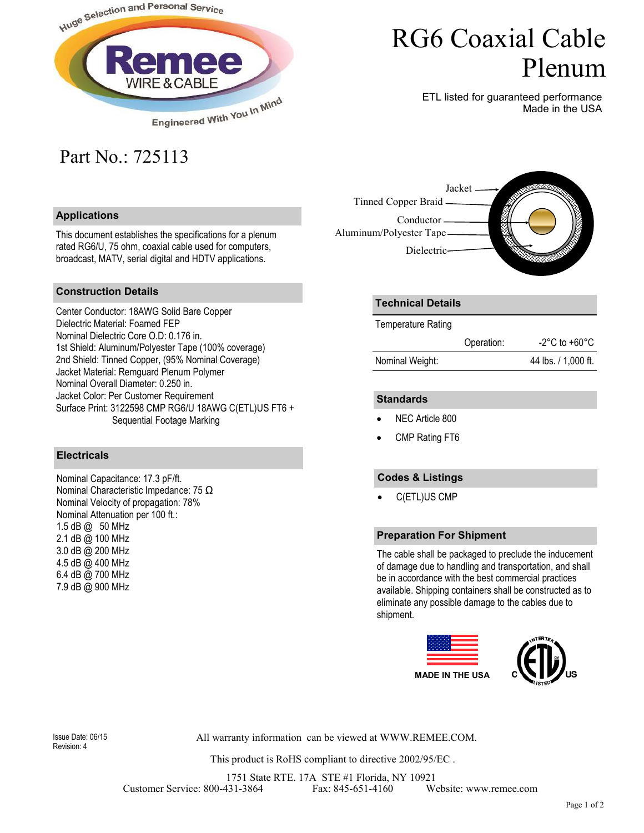

# RG6 Coaxial Cable Plenum

ETL listed for guaranteed performance Made in the USA

## Part No.: 725113

#### **Applications**

This document establishes the specifications for a plenum rated RG6/U, 75 ohm, coaxial cable used for computers, broadcast, MATV, serial digital and HDTV applications.



#### **Construction Details**

Center Conductor: 18AWG Solid Bare Copper Dielectric Material: Foamed FEP Nominal Dielectric Core O.D: 0.176 in. 1st Shield: Aluminum/Polyester Tape (100% coverage) 2nd Shield: Tinned Copper, (95% Nominal Coverage) Jacket Material: Remguard Plenum Polymer Nominal Overall Diameter: 0.250 in. Jacket Color: Per Customer Requirement Surface Print: 3122598 CMP RG6/U 18AWG C(ETL)US FT6 + Sequential Footage Marking

#### **Electricals**

Nominal Capacitance: 17.3 pF/ft. Nominal Characteristic Impedance: 75 Ω Nominal Velocity of propagation: 78% Nominal Attenuation per 100 ft.: 1.5 dB @ 50 MHz 2.1 dB @ 100 MHz 3.0 dB @ 200 MHz 4.5 dB @ 400 MHz 6.4 dB @ 700 MHz 7.9 dB @ 900 MHz

### **Technical Details**

Temperature Rating

|                 | Operation: | $-2^{\circ}$ C to $+60^{\circ}$ C |
|-----------------|------------|-----------------------------------|
| Nominal Weight: |            | 44 lbs. / 1,000 ft.               |

#### **Standards**

- NEC Article 800
- CMP Rating FT6

### **Codes & Listings**

• C(ETL)US CMP

#### **Preparation For Shipment**

The cable shall be packaged to preclude the inducement of damage due to handling and transportation, and shall be in accordance with the best commercial practices available. Shipping containers shall be constructed as to eliminate any possible damage to the cables due to shipment.



Revision: 4

All warranty information can be viewed at WWW.REMEE.COM. Issue Date: 06/15

This product is RoHS compliant to directive 2002/95/EC .

1751 State RTE. 17A STE #1 Florida, NY 10921 Customer Service: 800-431-3864 Fax: 845-651-4160 Website: www.remee.com